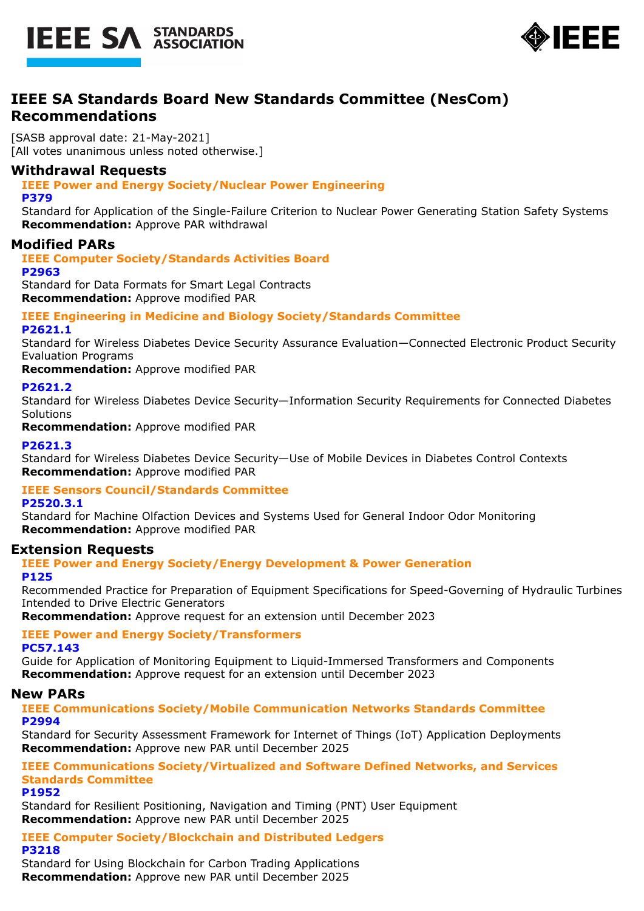



# **IEEE SA Standards Board New Standards Committee (NesCom) Recommendations**

[SASB approval date: 21-May-2021] [All votes unanimous unless noted otherwise.]

## **Withdrawal Requests**

**IEEE Power and Energy Society/Nuclear Power Engineering**

#### **P379**

Standard for Application of the Single-Failure Criterion to Nuclear Power Generating Station Safety Systems **Recommendation:** Approve PAR withdrawal

### **Modified PARs**

**IEEE Computer Society/Standards Activities Board**

**P2963**

Standard for Data Formats for Smart Legal Contracts **Recommendation:** Approve modified PAR

#### **IEEE Engineering in Medicine and Biology Society/Standards Committee P2621.1**

Standard for Wireless Diabetes Device Security Assurance Evaluation—Connected Electronic Product Security Evaluation Programs

**Recommendation:** Approve modified PAR

#### **P2621.2**

Standard for Wireless Diabetes Device Security—Information Security Requirements for Connected Diabetes **Solutions** 

**Recommendation:** Approve modified PAR

#### **P2621.3**

Standard for Wireless Diabetes Device Security—Use of Mobile Devices in Diabetes Control Contexts **Recommendation:** Approve modified PAR

# **IEEE Sensors Council/Standards Committee**

### **P2520.3.1**

Standard for Machine Olfaction Devices and Systems Used for General Indoor Odor Monitoring **Recommendation:** Approve modified PAR

### **Extension Requests**

# **IEEE Power and Energy Society/Energy Development & Power Generation**

#### **P125**

Recommended Practice for Preparation of Equipment Specifications for Speed-Governing of Hydraulic Turbines Intended to Drive Electric Generators

**Recommendation:** Approve request for an extension until December 2023

## **IEEE Power and Energy Society/Transformers**

#### **PC57.143**

Guide for Application of Monitoring Equipment to Liquid-Immersed Transformers and Components **Recommendation:** Approve request for an extension until December 2023

### **New PARs**

**IEEE Communications Society/Mobile Communication Networks Standards Committee P2994**

Standard for Security Assessment Framework for Internet of Things (IoT) Application Deployments **Recommendation:** Approve new PAR until December 2025

## **IEEE Communications Society/Virtualized and Software Defined Networks, and Services Standards Committee**

**P1952**

Standard for Resilient Positioning, Navigation and Timing (PNT) User Equipment **Recommendation:** Approve new PAR until December 2025

**IEEE Computer Society/Blockchain and Distributed Ledgers P3218**

Standard for Using Blockchain for Carbon Trading Applications **Recommendation:** Approve new PAR until December 2025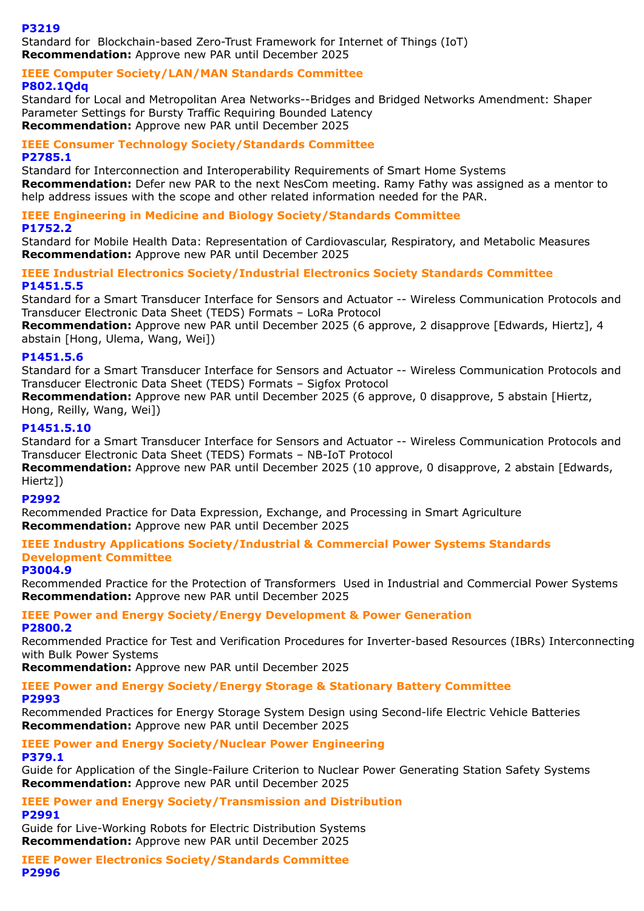#### **P3219**

Standard for Blockchain-based Zero-Trust Framework for Internet of Things (IoT) **Recommendation:** Approve new PAR until December 2025

#### **IEEE Computer Society/LAN/MAN Standards Committee P802.1Qdq**

Standard for Local and Metropolitan Area Networks--Bridges and Bridged Networks Amendment: Shaper Parameter Settings for Bursty Traffic Requiring Bounded Latency **Recommendation:** Approve new PAR until December 2025

#### **IEEE Consumer Technology Society/Standards Committee P2785.1**

Standard for Interconnection and Interoperability Requirements of Smart Home Systems **Recommendation:** Defer new PAR to the next NesCom meeting. Ramy Fathy was assigned as a mentor to help address issues with the scope and other related information needed for the PAR.

## **IEEE Engineering in Medicine and Biology Society/Standards Committee**

### **P1752.2**

Standard for Mobile Health Data: Representation of Cardiovascular, Respiratory, and Metabolic Measures **Recommendation:** Approve new PAR until December 2025

#### **IEEE Industrial Electronics Society/Industrial Electronics Society Standards Committee P1451.5.5**

Standard for a Smart Transducer Interface for Sensors and Actuator -- Wireless Communication Protocols and Transducer Electronic Data Sheet (TEDS) Formats – LoRa Protocol

**Recommendation:** Approve new PAR until December 2025 (6 approve, 2 disapprove [Edwards, Hiertz], 4 abstain [Hong, Ulema, Wang, Wei])

### **P1451.5.6**

Standard for a Smart Transducer Interface for Sensors and Actuator -- Wireless Communication Protocols and Transducer Electronic Data Sheet (TEDS) Formats – Sigfox Protocol

**Recommendation:** Approve new PAR until December 2025 (6 approve, 0 disapprove, 5 abstain [Hiertz, Hong, Reilly, Wang, Wei])

#### **P1451.5.10**

Standard for a Smart Transducer Interface for Sensors and Actuator -- Wireless Communication Protocols and Transducer Electronic Data Sheet (TEDS) Formats – NB-IoT Protocol

Recommendation: Approve new PAR until December 2025 (10 approve, 0 disapprove, 2 abstain [Edwards, Hiertz])

#### **P2992**

Recommended Practice for Data Expression, Exchange, and Processing in Smart Agriculture **Recommendation:** Approve new PAR until December 2025

### **IEEE Industry Applications Society/Industrial & Commercial Power Systems Standards Development Committee**

#### **P3004.9**

Recommended Practice for the Protection of Transformers Used in Industrial and Commercial Power Systems **Recommendation:** Approve new PAR until December 2025

#### **IEEE Power and Energy Society/Energy Development & Power Generation P2800.2**

Recommended Practice for Test and Verification Procedures for Inverter-based Resources (IBRs) Interconnecting with Bulk Power Systems

**Recommendation:** Approve new PAR until December 2025

#### **IEEE Power and Energy Society/Energy Storage & Stationary Battery Committee P2993**

Recommended Practices for Energy Storage System Design using Second-life Electric Vehicle Batteries **Recommendation:** Approve new PAR until December 2025

### **IEEE Power and Energy Society/Nuclear Power Engineering P379.1**

Guide for Application of the Single-Failure Criterion to Nuclear Power Generating Station Safety Systems **Recommendation:** Approve new PAR until December 2025

#### **IEEE Power and Energy Society/Transmission and Distribution P2991**

Guide for Live-Working Robots for Electric Distribution Systems **Recommendation:** Approve new PAR until December 2025

**IEEE Power Electronics Society/Standards Committee P2996**